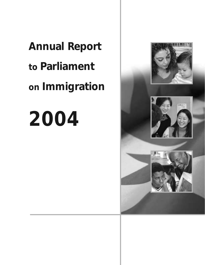**Annual Report to Parliament on Immigration**

## **2004**

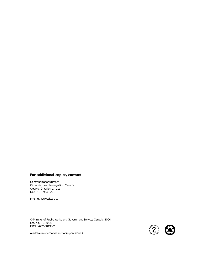#### **For additional copies, contact**

Communications Branch Citizenship and Immigration Canada Ottawa, Ontario K1A 1L1 Fax: (613) 954-2221

Internet: www.cic.gc.ca

© Minister of Public Works and Government Services Canada, 2004 Cat. no. Ci1-2004 ISBN 0-662-68498-2



Available in alternative formats upon request.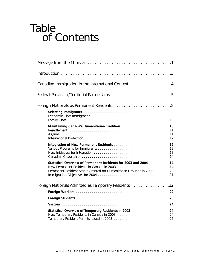### Table of Contents

| Canadian Immigration in the International Context 4                                                                                                                                                                           |
|-------------------------------------------------------------------------------------------------------------------------------------------------------------------------------------------------------------------------------|
|                                                                                                                                                                                                                               |
|                                                                                                                                                                                                                               |
|                                                                                                                                                                                                                               |
| Maintaining Canada's Humanitarian Tradition [1] [1] Maintaining Canada's Humanitarian Tradition [10]                                                                                                                          |
|                                                                                                                                                                                                                               |
| Statistical Overview of Permanent Residents for 2003 and 2004 [10]  14<br>Permanent Resident Status Granted on Humanitarian Grounds in 2003 20                                                                                |
| Foreign Nationals Admitted as Temporary Residents 22                                                                                                                                                                          |
|                                                                                                                                                                                                                               |
| Foreign Students (Alternative Alternative Alternative Alternative Alternative Alternative Alternative Alternative Alternative Alternative Alternative Alternative Alternative Alternative Alternative Alternative Alternative |
|                                                                                                                                                                                                                               |
| New Temporary Residents in Canada in 2003 24                                                                                                                                                                                  |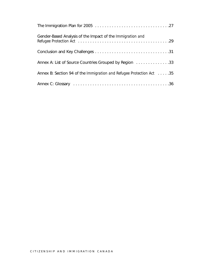| Gender-Based Analysis of the Impact of the Immigration and           |
|----------------------------------------------------------------------|
|                                                                      |
| Annex A: List of Source Countries Grouped by Region 33               |
| Annex B: Section 94 of the Immigration and Refugee Protection Act 35 |
|                                                                      |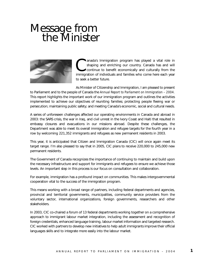## Message from<br>the Minister



anada's Immigration program has played a vital role in shaping and enriching our country. Canada has and will continue to benefit economically and culturally from the immigration of individuals and families who come here each year to seek a better future.

As Minister of Citizenship and Immigration, I am pleased to present to Parliament and to the people of Canada the *Annual Report to Parliament on Immigration – 2004.* This report highlights the important work of our immigration program and outlines the activities implemented to achieve our objectives of reuniting families; protecting people fleeing war or persecution; maintaining public safety; and meeting Canada's economic, social and cultural needs.

A series of unforeseen challenges affected our operating environments in Canada and abroad in 2003: the SARS crisis, the war in Iraq, and civil unrest in the Ivory Coast and Haiti that resulted in embassy closures and evacuations in our missions abroad. Despite these challenges, the Department was able to meet its overall immigration and refugee targets for the fourth year in a row by welcoming 221,352 immigrants and refugees as new permanent residents in 2003.

This year, it is anticipated that Citizen and Immigration Canada (CIC) will once again meet its target range. I'm also pleased to say that in 2005, CIC plans to receive 220,000 to 245,000 new permanent residents.

The Government of Canada recognizes the importance of continuing to maintain and build upon the necessary infrastructure and support for immigrants and refugees to ensure we achieve those levels. An important step in this process is our focus on consultation and collaboration.

For example, immigration has a profound impact on communities. This makes intergovernmental cooperation vital to the success of the immigration program.

This means working with a broad range of partners, including federal departments and agencies, provincial and territorial governments, municipalities, community service providers from the voluntary sector, international organizations, foreign governments, researchers and other stakeholders.

In 2003, CIC co-chaired a forum of 13 federal departments working together on a comprehensive approach to immigrant labour market integration, including the assessment and recognition of foreign credentials, enhanced language training, labour market information and targeted research. CIC worked with partners to develop new initiatives to help adult immigrants improve their official languages skills and to integrate more easily into the labour market.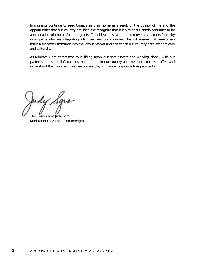Immigrants continue to seek Canada as their home as a result of the quality of life and the opportunities that our country provides. We recognize that it is vital that Canada continues to be a destination of choice for immigrants. To achieve this, we must remove any barriers faced by immigrants who are integrating into their new communities. This will ensure that newcomers make a successful transition into the labour market and can enrich our country both economically and culturally.

As Minister, I am committed to building upon our past success and working closely with our partners to ensure all Canadians share a pride in our country and the opportunities it offers and understand the important role newcomers play in maintaining our future prosperity.

dy Sgro

The Honourable Judy Sgro Minister of Citizenship and Immigration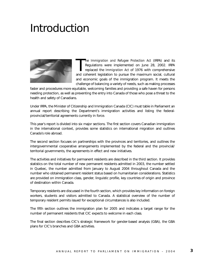### Introduction



The *Immigration and Refugee Protection Act* (IRPA) and its<br>Regulations were implemented on June 28, 2002. IRPA<br>replaced the *Immigration Act* of 1976 with comprehensive<br>and coherent legislation to pursue the maximum socia he *Immigration and Refugee Protection Act* (IRPA) and its Regulations were implemented on June 28, 2002. IRPA replaced the *Immigration Act* of 1976 with comprehensive and economic goals of the immigration program. It meets the challenge of balancing a variety of needs, such as making processes

faster and procedures more equitable, welcoming families and providing a safe haven for persons needing protection, as well as preventing the entry into Canada of those who pose a threat to the health and safety of Canadians.

Under IRPA, the Minister of Citizenship and Immigration Canada (CIC) must table in Parliament an annual report describing the Department's immigration activities and listing the federalprovincial/territorial agreements currently in force.

This year's report is divided into six major sections. The first section covers Canadian immigration in the international context, provides some statistics on international migration and outlines Canada's role abroad.

The second section focuses on partnerships with the provinces and territories, and outlines the intergovernmental cooperative arrangements implemented by the federal and the provincial/ territorial governments, the agreements in effect and new initiatives.

The activities and initiatives for permanent residents are described in the third section. It provides statistics on the total number of new permanent residents admitted in 2003, the number settled in Quebec, the number admitted from January to August 2004 throughout Canada and the number who obtained permanent resident status based on humanitarian considerations. Statistics are provided on immigration class, gender, linguistic profile, key countries of origin and province of destination within Canada.

Temporary residents are discussed in the fourth section, which provides key information on foreign workers, students and visitors admitted to Canada. A statistical overview of the number of temporary resident permits issued for exceptional circumstances is also included.

The fifth section outlines the immigration plan for 2005 and indicates a target range for the number of permanent residents that CIC expects to welcome in each class.

The final section describes CIC's strategic framework for gender-based analysis (GBA), the GBA plans for CIC's branches and GBA activities.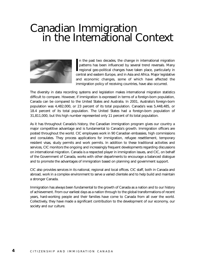## Canadian Immigration<br>
in the International Context



In the past two decades, the change in international migration patterns has been influenced by several trend reversals. Many regional geo-political changes have taken place, particularly in central and eastern Europe, and n the past two decades, the change in international migration patterns has been influenced by several trend reversals. Many regional geo-political changes have taken place, particularly in and economic changes, some of which have affected the immigration policy of receiving countries, have also occurred.

The diversity in data recording systems and legislation makes international migration statistics difficult to compare. However, if immigration is expressed in terms of a foreign-born population, Canada can be compared to the United States and Australia. In 2001, Australia's foreign-born population was 4,482,000, or 23 percent of its total population. Canada's was 5,448,485, or 18.4 percent of its total population. The United States had a foreign-born population of 31,811,000, but this high number represented only 11 percent of its total population.

As it has throughout Canada's history, the Canadian immigration program gives our country a major competitive advantage and is fundamental to Canada's growth. Immigration officers are posted throughout the world. CIC employees work in 90 Canadian embassies, high commissions and consulates. They process applications for immigration, refugee resettlement, temporary resident visas, study permits and work permits. In addition to these traditional activities and services, CIC monitors the ongoing and increasingly frequent developments regarding discussions on international migration. Canada is a respected player in immigration issues, and CIC, on behalf of the Government of Canada, works with other departments to encourage a balanced dialogue and to promote the advantages of immigration based on planning and government support.

CIC also provides services in its national, regional and local offices. CIC staff, both in Canada and abroad, work in a complex environment to serve a varied clientele and to help build and maintain a stronger Canada.

Immigration has always been fundamental to the growth of Canada as a nation and to our history of achievement. From our earliest days as a nation through to the global transformations of recent years, hard-working people and their families have come to Canada from all over the world. Collectively, they have made a significant contribution to the development of our economy, our society and our culture.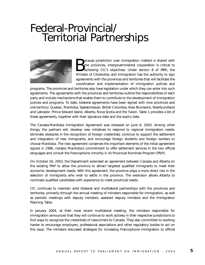### Federal-Provincial/ Territorial Partnerships



ecause jurisdiction over immigration matters is shared with the provinces, intergovernmental cooperation is critical to achieving CIC's objectives. Under section 8 of IRPA, the Minister of Citizenship and Immigration has the authority to sign agreements with the provinces and territories that will facilitate the coordination and implementation of immigration policies and

programs. The provinces and territories also have legislation under which they can enter into such agreements. The agreements with the provinces and territories outline the responsibilities of each party and include mechanisms that enable them to contribute to the development of immigration policies and programs. To date, bilateral agreements have been signed with nine provinces and one territory: Quebec, Manitoba, Saskatchewan, British Columbia, New Brunswick, Newfoundland and Labrador, Prince Edward Island, Alberta, Nova Scotia and the Yukon. Table 1 provides a list of these agreements, together with their signature date and the expiry date.

The Canada-Manitoba Immigration Agreement was renewed on June 6, 2003. Among other things, the partners will: develop new initiatives to respond to regional immigration needs; eliminate obstacles in the recognition of foreign credentials; continue to support the settlement and integration of new immigrants; and encourage foreign students and foreign workers to choose Manitoba. The new agreement conserves the important elements of the initial agreement signed in 1996, notably Manitoba's commitment to offer settlement services in the two official languages and consult the Francophone minority in its Provincial Nominee Program (PNP).

On October 16, 2003, the Department extended an agreement between Canada and Alberta on the existing PNP to allow the province to attract targeted qualified immigrants to meet their economic development needs. With this agreement, the province plays a more direct role in the selection of immigrants who wish to settle in the province. The extension allows Alberta to nominate qualified candidates with experience to meet provincial needs.

CIC continues to maintain solid bilateral and multilateral partnerships with the provinces and territories, primarily through the annual meeting of ministers responsible for immigration, as well as periodic meetings with deputy ministers, assistant deputy ministers and the Immigration Planning Table.

In January 2004, at their most recent multilateral meeting, the ministers responsible for immigration announced that they will continue to work actively in their respective jurisdictions to find ways to recognize the credentials of newcomers to Canada. They also committed to working harder to encourage employers, professional associations and other regulatory bodies to act on this issue. The ministers discussed strategies for increasing Francophone immigration to official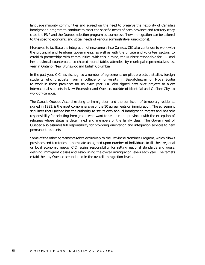language minority communities and agreed on the need to preserve the flexibility of Canada's immigration program to continue to meet the specific needs of each province and territory (they cited the PNP and the Quebec selection program as examples of how immigration can be tailored to the specific economic and social needs of various administrative jurisdictions).

Moreover, to facilitate the integration of newcomers into Canada, CIC also continues to work with the provincial and territorial governments, as well as with the private and volunteer sectors, to establish partnerships with communities. With this in mind, the Minister responsible for CIC and her provincial counterparts co-chaired round tables attended by municipal representatives last year in Ontario, New Brunswick and British Columbia.

In the past year, CIC has also signed a number of agreements on pilot projects that allow foreign students who graduate from a college or university in Saskatchewan or Nova Scotia to work in those provinces for an extra year. CIC also signed new pilot projects to allow international students in New Brunswick and Quebec, outside of Montréal and Québec City, to work off-campus.

The Canada-Quebec Accord relating to immigration and the admission of temporary residents, signed in 1991, is the most comprehensive of the 10 agreements on immigration. The agreement stipulates that Quebec has the authority to set its own annual immigration targets and has sole responsibility for selecting immigrants who want to settle in the province (with the exception of refugees whose status is determined and members of the family class). The Government of Quebec also assumes full responsibility for providing orientation and integration services to new permanent residents.

Some of the other agreements relate exclusively to the Provincial Nominee Program, which allows provinces and territories to nominate an agreed-upon number of individuals to fill their regional or local economic needs. CIC retains responsibility for setting national standards and goals, defining immigrant classes and establishing the overall immigration levels each year. The targets established by Quebec are included in the overall immigration levels.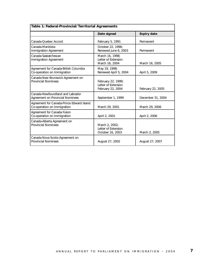| Table 1: Federal-Provincial/Territorial Agreements                       |                                                                |                    |
|--------------------------------------------------------------------------|----------------------------------------------------------------|--------------------|
|                                                                          | Date signed                                                    | <b>Expiry date</b> |
| Canada-Quebec Accord                                                     | February 5, 1991                                               | Permanent          |
| Canada-Manitoba<br>Immigration Agreement                                 | October 22, 1996;<br>Renewed June 6, 2003                      | Permanent          |
| Canada-Saskatchewan<br><b>Immigration Agreement</b>                      | March 16, 1998;<br>Letter of Extension<br>March 16, 2004       | March 16, 2005     |
| Agreement for Canada-British Columbia<br>Co-operation on Immigration     | May 19, 1998;<br>Renewed April 5, 2004                         | April 5, 2009      |
| Canada-New Brunswick Agreement on<br><b>Provincial Nominees</b>          | February 22, 1999;<br>Letter of Extension<br>February 22, 2004 | February 22, 2005  |
| Canada-Newfoundland and Labrador<br>Agreement on Provincial Nominees     | September 1, 1999                                              | December 31, 2004  |
| Agreement for Canada-Prince Edward Island<br>Co-operation on Immigration | March 29, 2001                                                 | March 29, 2006     |
| Agreement for Canada-Yukon<br>Co-operation on Immigration                | April 2, 2001                                                  | April 2, 2006      |
| Canada-Alberta Agreement on<br><b>Provincial Nominees</b>                | March 2, 2002;<br>Letter of Extension<br>October 16, 2003      | March 2, 2005      |
| Canada-Nova Scotia Agreement on<br><b>Provincial Nominees</b>            | August 27, 2002                                                | August 27, 2007    |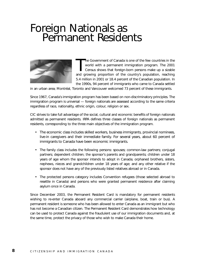## Foreign Nationals as<br>Permanent Residents



The Government of Canada is one of the few countries in the world with a permanent immigration program. The 2001<br>Census shows that foreign-born persons make up a sizable<br>and growing proportion of the country's population, he Government of Canada is one of the few countries in the world with a permanent immigration program. The 2001 Census shows that foreign-born persons make up a sizable 5.4 million in 2001 or 18.4 percent of the Canadian population. In the 1990s, 94 percent of immigrants who came to Canada settled

in an urban area; Montréal, Toronto and Vancouver welcomed 73 percent of these immigrants.

Since 1967, Canada's immigration program has been based on non-discriminatory principles. The immigration program is universal — foreign nationals are assessed according to the same criteria regardless of race, nationality, ethnic origin, colour, religion or sex.

CIC strives to take full advantage of the social, cultural and economic benefits of foreign nationals admitted as permanent residents. IRPA defines three classes of foreign nationals as permanent residents, corresponding to the three main objectives of the immigration program.

- The economic class includes skilled workers, business immigrants, provincial nominees, live-in caregivers and their immediate family. For several years, about 60 percent of immigrants to Canada have been economic immigrants.
- The family class includes the following persons: spouses; common-law partners; conjugal partners; dependent children; the sponsor's parents and grandparents; children under 18 years of age whom the sponsor intends to adopt in Canada; orphaned brothers, sisters, nephews, nieces and grandchildren under 18 years of age; and any other relative if the sponsor does not have any of the previously listed relatives abroad or in Canada.
- The protected persons category includes Convention refugees (those selected abroad to resettle in Canada) and persons who were granted permanent residence after claiming asylum once in Canada.

Since December 2003, the Permanent Resident Card is mandatory for permanent residents wishing to re-enter Canada aboard any commercial carrier (airplane, boat, train or bus). A permanent resident is someone who has been allowed to enter Canada as an immigrant but who has not become a Canadian citizen. The Permanent Resident Card demonstrates how technology can be used to protect Canada against the fraudulent use of our immigration documents and, at the same time, protect the privacy of those who wish to make Canada their home.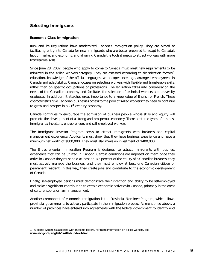#### **Selecting Immigrants**

#### **Economic Class Immigration**

IRPA and its Regulations have modernized Canada's immigration policy. They are aimed at facilitating entry into Canada for new immigrants who are better prepared to adapt to Canada's labour market and economy, and at giving Canada the tools it needs to attract workers with more transferable skills.

Since June 28, 2002, people who apply to come to Canada must meet new requirements to be admitted in the skilled workers category. They are assessed according to six selection factors:<sup>1</sup> education, knowledge of the official languages, work experience, age, arranged employment in Canada and adaptability. Canada focuses on selecting workers with flexible and transferable skills, rather than on specific occupations or professions. The legislation takes into consideration the needs of the Canadian economy and facilitates the selection of technical workers and university graduates. In addition, it attaches great importance to a knowledge of English or French. These characteristics give Canadian businesses access to the pool of skilled workers they need to continue to grow and prosper in a 21<sup>st</sup> century economy.

Canada continues to encourage the admission of business people whose skills and equity will promote the development of a strong and prosperous economy. There are three types of business immigrants: investors, entrepreneurs and self-employed workers.

The Immigrant Investor Program seeks to attract immigrants with business and capital management experience. Applicants must show that they have business experience and have a minimum net worth of \$800,000. They must also make an investment of \$400,000.

The Entrepreneurial Immigration Program is designed to attract immigrants with business experience that can be utilized in Canada. Certain conditions are imposed on them once they arrive in Canada: they must hold at least 33 1/3 percent of the equity of a Canadian business; they must actively manage the business; and they must employ at least one Canadian citizen or permanent resident. In this way, they create jobs and contribute to the economic development of Canada.

Finally, self-employed persons must demonstrate their intention and ability to be self-employed and make a significant contribution to certain economic activities in Canada, primarily in the areas of culture, sports or farm management.

Another component of economic immigration is the Provincial Nominee Program, which allows provincial governments to actively participate in the immigration process. As mentioned above, a number of provinces have entered into agreements with the federal government to identify and

<sup>1</sup> A points system is associated with these six factors. For more information on skilled workers, see **www.cic.gc.ca/english/skilled/index.html**.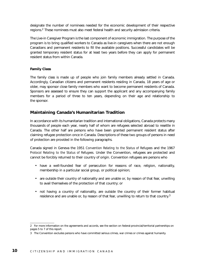designate the number of nominees needed for the economic development of their respective regions.<sup>2</sup> These nominees must also meet federal health and security admission criteria.

The Live-in Caregiver Program is the last component of economic immigration. The purpose of the program is to bring qualified workers to Canada as live-in caregivers when there are not enough Canadians and permanent residents to fill the available positions. Successful candidates will be granted temporary resident status for at least two years before they can apply for permanent resident status from within Canada.

#### **Family Class**

The family class is made up of people who join family members already settled in Canada. Accordingly, Canadian citizens and permanent residents residing in Canada, 18 years of age or older, may sponsor close family members who want to become permanent residents of Canada. Sponsors are assessed to ensure they can support the applicant and any accompanying family members for a period of three to ten years, depending on their age and relationship to the sponsor.

#### **Maintaining Canada's Humanitarian Tradition**

In accordance with its humanitarian tradition and international obligations, Canada protects many thousands of people each year, nearly half of whom are refugees selected abroad to resettle in Canada. The other half are persons who have been granted permanent resident status after claiming refugee protection once in Canada. Descriptions of these two groups of persons in need of protection are provided in the following paragraphs.

Canada signed in Geneva the 1951 *Convention Relating to the Status of Refugees* and the 1967 *Protocol Relating to the Status of Refugees.* Under the Convention, refugees are protected and cannot be forcibly returned to their country of origin. Convention refugees are persons who

- have a well-founded fear of persecution for reasons of race, religion, nationality, membership in a particular social group, or political opinion;
- are outside their country of nationality and are unable or, by reason of that fear, unwilling to avail themselves of the protection of that country; or
- not having a country of nationality, are outside the country of their former habitual residence and are unable or, by reason of that fear, unwilling to return to that country.<sup>3</sup>

<sup>2</sup> For more information on the agreements and accords, see the section on federal-provincial/territorial partnerships on pages 5 to 7 of this report.

<sup>3</sup> The Convention excludes persons who have committed serious crimes, war crimes or crimes against humanity.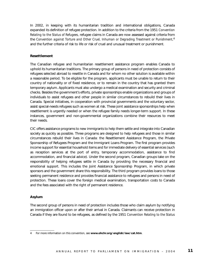In 2002, in keeping with its humanitarian tradition and international obligations, Canada expanded its definition of refugee protection. In addition to the criteria from the 1951 *Convention Relating to the Status of Refugees,* refugee claims in Canada are now assessed against criteria from the *Convention against Torture and Other Cruel, Inhuman or Degrading Treatment or Punishment,*<sup>4</sup> and the further criteria of risk to life or risk of cruel and unusual treatment or punishment.

#### **Resettlement**

The Canadian refugee and humanitarian resettlement assistance program enables Canada to uphold its humanitarian traditions. The primary group of persons in need of protection consists of refugees selected abroad to resettle in Canada and for whom no other solution is available within a reasonable period. To be eligible for the program, applicants must be unable to return to their country of nationality or of fixed residence, or to remain in the country that has granted them temporary asylum. Applicants must also undergo a medical examination and security and criminal checks. Besides the government's efforts, private sponsorships enable organizations and groups of individuals to assist refugees and other people in similar circumstances to rebuild their lives in Canada. Special initiatives, in cooperation with provincial governments and the voluntary sector, assist special-needs refugees such as women at risk. These joint assistance sponsorships help when resettlement is urgently needed or when the refugee family needs longer-term support. In these instances, government and non-governmental organizations combine their resources to meet their needs.

CIC offers assistance programs to new immigrants to help them settle and integrate into Canadian society as quickly as possible. Three programs are designed to help refugees and those in similar circumstances rebuild their lives in Canada: the Resettlement Assistance Program, the Private Sponsorship of Refugees Program and the Immigrant Loans Program. The first program provides income support for essential household items and for immediate delivery of essential services (such as reception services at the port of entry, temporary accommodation, assistance to find accommodation, and financial advice). Under the second program, Canadian groups take on the responsibility of helping refugees settle in Canada by providing the necessary financial and emotional support. This includes the Joint Assistance Sponsorship Program, in which private sponsors and the government share this responsibility. The third program provides loans to those seeking permanent residence and provides financial assistance to refugees and persons in need of protection. These loans cover the foreign medical examination, transportation costs to Canada and the fees associated with the right of permanent residence.

#### **Asylum**

The second group of persons in need of protection includes those who claim asylum by notifying an immigration officer upon or after their arrival in Canada. Claimants can receive protection in Canada if they are found to be refugees, as defined by the 1951 *Convention Relating to the Status*

<sup>4</sup> For more information on this convention, see **www.ohchr.org/english/law/cat.htm**.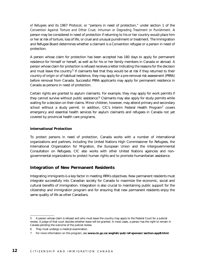*of Refugees* and its 1967 Protocol, or "persons in need of protection," under section 1 of the *Convention Against Torture and Other Cruel, Inhuman or Degrading Treatment or Punishment*. A person may be considered in need of protection if returning to his or her country would place him or her at risk of torture, loss of life, or cruel and unusual punishment or treatment. The Immigration and Refugee Board determines whether a claimant is a Convention refugee or a person in need of protection.

A person whose claim for protection has been accepted has 180 days to apply for permanent residence for himself or herself, as well as for his or her family members in Canada or abroad. A person whose claim for protection is refused receives a letter indicating the reasons for the decision and must leave the country.<sup>5</sup> If claimants feel that they would be at risk if they returned to their country of origin or of habitual residence, they may apply for a pre-removal risk assessment (PRRA) before removal from Canada. Successful PRRA applicants may apply for permanent residence in Canada as persons in need of protection.

Certain rights are granted to asylum claimants. For example, they may apply for work permits if they cannot survive without public assistance.<sup>6</sup> Claimants may also apply for study permits while waiting for a decision on their claims. Minor children, however, may attend primary and secondary school without a study permit. In addition, CIC's Interim Federal Health Program<sup>7</sup> covers emergency and essential health services for asylum claimants and refugees in Canada not yet covered by provincial health care programs.

#### **International Protection**

To protect persons in need of protection, Canada works with a number of international organizations and partners, including the United Nations High Commissioner for Refugees, the International Organization for Migration, the European Union and the Intergovernmental Consultation on Refugees. CIC also works with other United Nations agencies and nongovernmental organizations to protect human rights and to promote humanitarian assistance.

#### **Integration of New Permanent Residents**

Integrating immigrants is a key factor in meeting IRPA's objectives. New permanent residents must integrate successfully into Canadian society for Canada to maximize the economic, social and cultural benefits of immigration. Integration is also crucial to maintaining public support for the citizenship and immigration program and for ensuring that new permanent residents enjoy the same quality of life as other Canadians.

<sup>5</sup> A person whose claim is refused and who must leave the country may apply to the Federal Court for a judicial review. A judge of that court decides whether leave will be granted. In most cases, a person has the right to remain in Canada pending the outcome of the judicial review.

<sup>6</sup> They must undergo a medical examination.

<sup>7</sup> For more information on this program, see **www.cic.gc.ca/english/pub/ref-sponsor/section-appB.html**.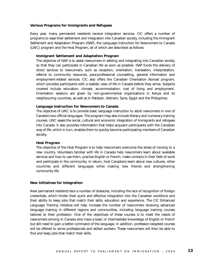#### **Various Programs for Immigrants and Refugees**

Every year, many permanent residents receive integration services. CIC offers a number of programs to ease their settlement and integration into Canadian society, including the Immigrant Settlement and Adaptation Program (ISAP), the Language Instruction for Newcomers to Canada (LINC) program and the Host Program, all of which are described as follows.

#### **Immigrant Settlement and Adaptation Program**

The objective of ISAP is to assist newcomers in settling and integrating into Canadian society so that they can participate in Canadian life as soon as possible. ISAP funds the delivery of direct services to newcomers, such as reception, orientation, translation, interpretation, referral to community resources, para-professional counselling, general information and employment-related services. CIC also offers the Canadian Orientation Abroad program, which provides participants with a realistic view of life in Canada before they arrive. Subjects covered include education, climate, accommodation, cost of living and employment. Orientation sessions are given by non-governmental organizations in Kenya and its neighbouring countries, as well as in Pakistan, Vietnam, Syria, Egypt and the Philippines.

#### **Language Instruction for Newcomers to Canada**

The objective of LINC is to provide basic language instruction to adult newcomers in one of Canada's two official languages. The program may also include literacy and numeracy training courses. LINC eases the social, cultural and economic integration of immigrants and refugees into Canada. It also provides information that helps acquaint participants with the Canadian way of life, which in turn, enables them to quickly become participating members of Canadian society.

#### **Host Program**

The objective of the Host Program is to help newcomers overcome the stress of moving to a new country. Volunteers familiar with life in Canada help newcomers learn about available services and how to use them, practise English or French, make contacts in their field of work and participate in the community. In return, host Canadians learn about new cultures, other countries and different languages while making new friends and strengthening community life.

#### **New Initiatives for Integration**

New permanent residents face a number of obstacles, including the lack of recognition of foreign credentials, which hinder their quick and effective integration into the Canadian workforce and their ability to keep jobs that match their skills, education and experience. The CIC Enhanced Language Training initiative will help increase the number of newcomers receiving advanced language training in different regions and communities, including language training courses tailored to their profession. One of the objectives of these courses is to meet the needs of newcomers arriving in Canada who have a basic or intermediate knowledge of English or French but still need to gain a better command of the language. In addition, profession-targeted courses will be offered to some professionals and skilled workers. These newcomers will then be able to find and keep jobs that match their skills.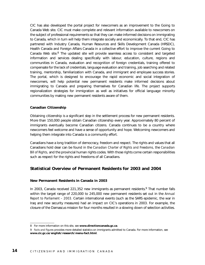CIC has also developed the portal project for newcomers as an improvement to the Going to Canada Web site. CIC must make complete and relevant information available to newcomers on the subject of professional requirements so that they can make informed decisions on immigrating to Canada, which in turn will help them integrate socially and economically. To that end, CIC has partnered with Industry Canada, Human Resources and Skills Development Canada (HRSDC), Health Canada and Foreign Affairs Canada in a collective effort to improve the current Going to Canada Web site. $<sup>8</sup>$  The updated site will provide seamless access to consistent and targeted</sup> information and services dealing specifically with labour, education, culture, regions and communities in Canada, evaluation and recognition of foreign credentials, training offered to compensate for the lack of credentials, language evaluation and training, job searching and related training, mentorship, familiarization with Canada, and immigrant and employee success stories. The portal, which is designed to encourage the rapid economic and social integration of newcomers, will help potential new permanent residents make informed decisions about immigrating to Canada and preparing themselves for Canadian life. The project supports regionalization strategies for immigration as well as initiatives for official language minority communities by making new permanent residents aware of them.

#### **Canadian Citizenship**

Obtaining citizenship is a significant step in the settlement process for new permanent residents. More than 150,000 people obtain Canadian citizenship every year. Approximately 80 percent of immigrants eventually become Canadian citizens. Canada continues to be a country where newcomers feel welcome and have a sense of opportunity and hope. Welcoming newcomers and helping them integrate into Canada is a community effort.

Canadians have a long tradition of democracy, freedom and respect. The rights and values that all Canadians hold dear can be found in the *Canadian Charter of Rights and Freedoms,* the *Canadian Bill of Rights,* and the provincial human rights codes. With those rights come certain responsibilities such as respect for the rights and freedoms of all Canadians.

#### **Statistical Overview of Permanent Residents for 2003 and 2004**

#### **New Permanent Residents in Canada in 2003**

In 2003, Canada received 221,352 new immigrants as permanent residents.<sup>9</sup> That number falls within the target range of 220,000 to 245,000 new permanent residents set out in the *Annual Report to Parliament – 2003.* Certain international events (such as the SARS epidemic, the war in Iraq and new security measures) had an impact on CIC's operations in 2003. For example, the closure of the Damascus mission for four months resulted in a slowing down of selection activities.

<sup>8</sup> For more information on this site, see **www.directioncanada.gc.ca**.

<sup>9</sup> *Facts and Figures* provides more detailed statistics on immigrants admitted to Canada. For more information, see **www.cic.gc.ca/english/research/menu-fact.html**.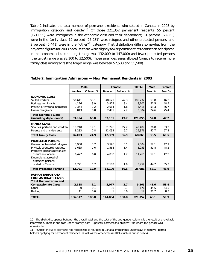Table 2 indicates the total number of permanent residents who settled in Canada in 2003 by immigration category and gender.<sup>10</sup> Of those 221,352 permanent residents, 55 percent (121,055) were immigrants in the economic class and their dependants; 31 percent (68,863) were in the family class; 12 percent (25,981) were refugees and other protected persons; and 2 percent (5,441) were in the "other"<sup>11</sup> category. That distribution differs somewhat from the projected figures for 2003 because there were slightly fewer permanent residents than anticipated in the economic class (the target range was 132,000 to 147,000) and fewer protected persons (the target range was 28,100 to 32,500). Those small decreases allowed Canada to receive more family class immigrants (the target range was between 52,500 and 55,500).

| Table 2: Immigration Admissions - New Permanent Residents in 2003 |               |             |               |          |              |             |        |  |
|-------------------------------------------------------------------|---------------|-------------|---------------|----------|--------------|-------------|--------|--|
|                                                                   |               | <b>Male</b> |               | Female   | <b>TOTAL</b> | <b>Male</b> | Female |  |
|                                                                   | <b>Number</b> | Column %    | <b>Number</b> | Column % | Row %        |             | Row %  |  |
| <b>ECONOMIC CLASS</b>                                             |               |             |               |          |              |             |        |  |
| Skilled workers                                                   | 56,611        | 53.1        | 48,621        | 42.3     | 105,232      | 53.8        | 46.2   |  |
| <b>Business immigrants</b>                                        | 4.176         | 3.9         | 3,925         | 3.4      | 8.101        | 51.5        | 48.5   |  |
| Provincial/territorial nominees                                   | 2,354         | 2.2         | 2,064         | 1.8      | 4,418        | 53.3        | 46.7   |  |
| Live-in caregivers                                                | 813           | 0.8         | 2,491         | 2.2      | 3,304        | 24.6        | 75.4   |  |
| <b>Total Economic Class</b>                                       |               |             |               |          |              |             |        |  |
| (including dependants)                                            | 63,954        | 60.0        | 57,101        | 49.7     | 121,055      | 52.8        | 47.2   |  |
| <b>FAMILY CLASS</b>                                               |               |             |               |          |              |             |        |  |
| Spouses, partners and children                                    | 18,210        | 17.1        | 31,276        | 27.2     | 49.487       | 36.8        | 63.2   |  |
| Parents and grandparents                                          | 8,283         | 7.8         | 11,093        | 9.7      | 19,376       | 42.7        | 57.3   |  |
| <b>Total Family Class</b>                                         | 26,493        | 24.9        | 42,369        | 36.9     | 68,863       | 38.5        | 61.5   |  |
| <b>PROTECTED PERSONS</b>                                          |               |             |               |          |              |             |        |  |
| Government-assisted refugees                                      | 3,908         | 3.7         | 3,596         | 3.1      | 7,504        | 52.1        | 47.9   |  |
| Privately sponsored refugees                                      | 1,685         | 1.6         | 1,568         | 1.4      | 3,253        | 51.8        | 48.2   |  |
| Protected persons recognized                                      |               |             |               |          |              |             |        |  |
| as such in Canada                                                 | 6,427         | 6.0         | 4,838         | 4.2      | 11,265       | 57.1        | 42.9   |  |
| Dependants abroad of                                              |               |             |               |          |              |             |        |  |
| protected persons                                                 |               |             |               |          |              |             |        |  |
| landed in Canada                                                  | 1,771         | 1.7         | 2,188         | 1.9      | 3.959        | 44.7        | 55.3   |  |
| <b>Total Protected Persons</b>                                    | 13,791        | 12.9        | 12,190        | 10.6     | 25,981       | 53.1        | 46.9   |  |
| <b>HUMANITARIAN AND</b><br><b>COMPASSIONATE CASES</b>             |               |             |               |          |              |             |        |  |
| <b>Total Humanitarian and</b>                                     |               |             |               |          |              |             |        |  |
| <b>Compassionate Cases</b>                                        | 2,188         | 2.1         | 3,077         | 2.7      | 5,265        | 41.6        | 58.4   |  |
| Other                                                             | 80            | 0.1         | 96            | 0.1      | 176          | 45.5        | 54.5   |  |
| Backlog                                                           | 11            | 0.0         | 1             | 0.0      | 12           | 91.7        | 8.3    |  |
| <b>TOTAL</b>                                                      | 106,517       | 100.0       | 114,834       | 100.0    | 221,352      | 48.1        | 51.9   |  |

<sup>10</sup> The slight discrepancy between the overall total and the total of the two gender columns is the result of unavailable information. There is one case under "Family class – Spouses, partners and children" for whom the gender was unavailable.

<sup>11 &</sup>quot;Other" includes claimants not recognized as refugees in Canada, immigrants under stays of removal, permit holders applying for permanent residence, as well as the other cases in IRPA (such as public policy).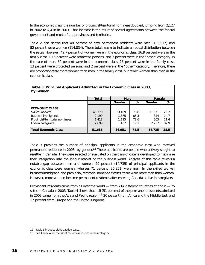In the economic class, the number of provincial/territorial nominees doubled, jumping from 2,127 in 2002 to 4,418 in 2003. That increase is the result of several agreements between the federal government and most of the provinces and territories.

Table 2 also shows that 48 percent of new permanent residents were men (106,517) and 52 percent were women (114,834). Those totals seem to indicate an equal distribution between the sexes. However, 49.7 percent of women were in the economic class, 36.9 percent were in the family class, 10.6 percent were protected persons, and 3 percent were in the "other" category. In the case of men, 60 percent were in the economic class, 25 percent were in the family class, 13 percent were protected persons, and 2 percent were in the "other" category. Therefore, there are proportionately more women than men in the family class, but fewer women than men in the economic class.

| by Gender                       |              |               |      |               |      |
|---------------------------------|--------------|---------------|------|---------------|------|
|                                 | <b>Total</b> | <b>Male</b>   |      | Female        |      |
|                                 |              | <b>Number</b> | %    | <b>Number</b> | %    |
| <b>ECONOMIC CLASS</b>           |              |               |      |               |      |
| <b>Skilled workers</b>          | 45,370       | 33,499        | 73.8 | 11,871        | 26.2 |
| <b>Business immigrants</b>      | 2,199        | 1,875         | 85.3 | 324           | 14.7 |
| Provincial/territorial nominees | 1,418        | 1,115         | 78.6 | 303           | 21.4 |
| Live-in caregivers              | 2,699        | 462           | 17.1 | 2.237         | 82.9 |
| <b>Total Economic Class</b>     | 51,686       | 36,951        | 71.5 | 14,735        | 28.5 |

### **Table 3: Principal Applicants Admitted in the Economic Class in 2003,**

Table 3 provides the number of principal applicants in the economic class who received permanent residence in 2003, by gender.<sup>12</sup> These applicants are people who actively sought to resettle in Canada. They were selected or evaluated on the basis of criteria developed to maximize their integration into the labour market or the business world. Analysis of this table reveals a notable gap between men and women: 29 percent (14,735) of principal applicants in the economic class were women, whereas 71 percent (36,951) were men. In the skilled worker, business immigrant, and provincial/territorial nominee classes, there were more men than women. However, more women became permanent residents after entering Canada as live-in caregivers.

Permanent residents came from all over the world — from 214 different countries of origin — to settle in Canada in 2003. Table 4 shows that half (51 percent) of the permanent residents admitted in 2003 came from the Asia and Pacific region,  $13$  20 percent from Africa and the Middle East, and 17 percent from Europe and the United Kingdom.

<sup>12</sup> Table 3 includes eight backlog cases.

<sup>13</sup> See Annex A for the list of countries included in this category.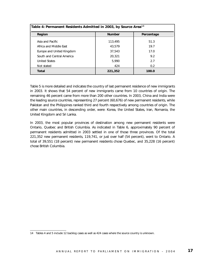| Table 4: Permanent Residents Admitted in 2003, by Source Area <sup>14</sup> |               |            |
|-----------------------------------------------------------------------------|---------------|------------|
| <b>Region</b>                                                               | <b>Number</b> | Percentage |
| Asia and Pacific                                                            | 113,495       | 51.3       |
| Africa and Middle East                                                      | 43.579        | 19.7       |
| Europe and United Kingdom                                                   | 37.543        | 17.0       |
| South and Central America                                                   | 20,321        | 9.2        |
| <b>United States</b>                                                        | 5,990         | 2.7        |
| Not stated                                                                  | 424           | 0.2        |
| <b>Total</b>                                                                | 221,352       | 100.0      |

Table 5 is more detailed and indicates the country of last permanent residence of new immigrants in 2003. It shows that 54 percent of new immigrants came from 10 countries of origin. The remaining 46 percent came from more than 200 other countries. In 2003, China and India were the leading source countries, representing 27 percent (60,676) of new permanent residents, while Pakistan and the Philippines ranked third and fourth respectively among countries of origin. The other main countries, in descending order, were: Korea, the United States, Iran, Romania, the United Kingdom and Sri Lanka.

In 2003, the most popular provinces of destination among new permanent residents were Ontario, Quebec and British Columbia. As indicated in Table 6, approximately 90 percent of permanent residents admitted in 2003 settled in one of those three provinces. Of the total 221,352 new permanent residents, 119,741, or just over half (54 percent), went to Ontario. A total of 39,551 (18 percent) new permanent residents chose Quebec, and 35,228 (16 percent) chose British Columbia.

<sup>14</sup> Tables 4 and 5 include 12 backlog cases as well as 424 cases where the source country is unknown.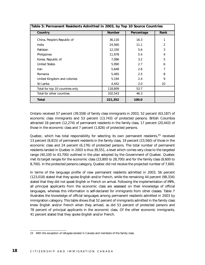| Table 5: Permanent Residents Admitted in 2003, by Top 10 Source Countries |               |                    |                |  |  |  |
|---------------------------------------------------------------------------|---------------|--------------------|----------------|--|--|--|
| Country                                                                   | <b>Number</b> | Rank<br>Percentage |                |  |  |  |
| China, People's Republic of                                               | 36,116        | 16.3               | 1              |  |  |  |
| India                                                                     | 24,560        | 11.1               | $\overline{2}$ |  |  |  |
| Pakistan                                                                  | 12,330        | 5.6                | 3              |  |  |  |
| <b>Philippines</b>                                                        | 11,978        | 5.4                | $\overline{4}$ |  |  |  |
| Korea, Republic of                                                        | 7,086         | 3.2                | 5              |  |  |  |
| <b>United States</b>                                                      | 5,990         | 2.7                | 6              |  |  |  |
| <b>Iran</b>                                                               | 5,648         | 2.6                | 7              |  |  |  |
| Romania                                                                   | 5,465         | 2.5                | 8              |  |  |  |
| United Kingdom and colonies                                               | 5,194         | 2.4                | 9              |  |  |  |
| Sri Lanka                                                                 | 4,442         | 2.0                | 10             |  |  |  |
| Total for top 10 countries only                                           | 118,809       | 53.7               |                |  |  |  |
| Total for other countries                                                 | 102,543       | 46.3               |                |  |  |  |
| <b>Total</b>                                                              | 221,352       | 100.0              |                |  |  |  |

Ontario received 57 percent (39,558) of family class immigrants in 2003, 52 percent (63,187) of economic class immigrants and 53 percent (13,743) of protected persons. British Columbia attracted 18 percent (12,274) of permanent residents in the family class, 17 percent (20,443) of those in the economic class and 7 percent (1,826) of protected persons.

Quebec, which has total responsibility for selecting its own permanent residents,  $15$  received 13 percent (8,815) of permanent residents in the family class, 19 percent (23,560) of those in the economic class and 24 percent (6,176) of protected persons. The total number of permanent residents landed in Quebec in 2003 is thus 39,551, a level which comes very close to the targeted range (40,100 to 43,700) outlined in the plan adopted by the Government of Quebec. Quebec met its target ranges for the economic class (23,800 to 28,700) and for the family class (8,600 to 8,700). In the protected persons category, Quebec did not receive the projected number of 7,600.

In terms of the language profile of new permanent residents admitted in 2003, 56 percent (123,018) stated that they spoke English and/or French, while the remaining 44 percent (98,334) stated that they did not speak English or French on arrival. Following the implementation of IRPA, all principal applicants from the economic class are assessed on their knowledge of official languages, whereas this information is self-declared for immigrants from other classes. Table 7 illustrates the knowledge of official languages among permanent residents admitted in 2003 by immigration category. This table shows that 52 percent of immigrants admitted in the family class knew English and/or French when they arrived, as did 53 percent of protected persons and 78 percent of principal applicants in the economic class. Of the other economic immigrants, 41 percent stated that they spoke English and/or French.

<sup>15</sup> With the exception of refugees landed in Canada and members of the family class.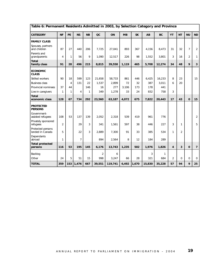| Table 6: Permanent Residents Admitted in 2003, by Selection Category and Province |                |              |                |              |                |         |           |           |        |              |                |                |                |                         |
|-----------------------------------------------------------------------------------|----------------|--------------|----------------|--------------|----------------|---------|-----------|-----------|--------|--------------|----------------|----------------|----------------|-------------------------|
| <b>CATEGORY</b>                                                                   | <b>NF</b>      | PE           | <b>NS</b>      | <b>NB</b>    | OC             | ON      | <b>MB</b> | <b>SK</b> | AB     | <b>BC</b>    | YT             | <b>NT</b>      | <b>NU</b>      | <b>ND</b>               |
| <b>FAMILY CLASS</b>                                                               |                |              |                |              |                |         |           |           |        |              |                |                |                |                         |
| Spouses, partners<br>and children                                                 | 87             | 27           | 440            | 206          | 7,725          | 27,041  | 893       | 367       | 4,156  | 8,473        | 31             | 32             | $\overline{7}$ | $\overline{2}$          |
| Parents and<br>grandparents                                                       | $\overline{4}$ | 1            | 56             | 9            | 1,090          | 12,517  | 226       | 98        | 1,552  | 3,801        | 3              | 16             | $\overline{2}$ | $\mathbf{1}$            |
| <b>Total</b><br>family class                                                      | 91             | 28           | 496            | 215          | 8,815          | 39,558  | 1,119     | 465       | 5,708  | 12,274       | 34             | 48             | 9              | $\overline{\mathbf{3}}$ |
| <b>ECONOMIC</b><br><b>CLASS</b>                                                   |                |              |                |              |                |         |           |           |        |              |                |                |                |                         |
| Skilled workers                                                                   | 90             | 18           | 599            | 123          | 21.658         | 58,733  | 861       | 446       | 6,425  | 16.233       | 8              | 23             |                | 15                      |
| <b>Business class</b>                                                             |                | 4            | 131            | 22           | 1,537          | 2,899   | 72        | 32        | 387    | 3,011        | 6              | 20             |                |                         |
| Provincial nominees                                                               | 37             | 44           |                | 146          | 16             | 277     | 3,106     | 173       | 178    | 441          |                |                |                |                         |
| Live-in caregivers                                                                | $\mathbf{1}$   | $\mathbf{1}$ | $\overline{4}$ | $\mathbf{1}$ | 349            | 1,278   | 33        | 24        | 832    | 758          | 3              |                |                |                         |
| <b>Total</b><br>economic class                                                    | 128            | 67           | 734            | 292          | 23,560         | 63,187  | 4,072     | 675       | 7,822  | 20,443       | 17             | 43             | $\mathbf 0$    | 15                      |
| <b>PROTECTED</b><br><b>PERSONS</b>                                                |                |              |                |              |                |         |           |           |        |              |                |                |                |                         |
| Government-<br>assisted refugees                                                  | 108            | 53           | 137            | 139          | 2.052          | 2,318   | 539       | 419       | 961    | 776          |                |                |                | $\overline{2}$          |
| Privately sponsored<br>refugees                                                   | $\overline{2}$ |              | 29             | 3            | 341            | 1,561   | 597       | 38        | 446    | 227          | 3              | 1              |                | 5                       |
| Protected persons<br>landed in Canada                                             | 5              |              | 22             | 3            | 2.889          | 7,300   | 91        | 33        | 385    | 534          | $\mathbf{1}$   | $\overline{2}$ |                |                         |
| Dependants<br>abroad                                                              | 1              |              | $\overline{7}$ |              | 894            | 2,564   | 8         | 12        | 184    | 289          |                |                |                |                         |
| <b>Total protected</b><br>persons                                                 | 116            | 53           | 195            | 145          | 6,176          | 13,743  | 1,235     | 502       | 1,976  | 1,826        | 4              | 3              | $\mathbf 0$    | $\overline{7}$          |
| Backlog                                                                           |                |              |                |              | $\overline{2}$ | 6       |           |           | 3      | $\mathbf{1}$ |                |                |                |                         |
| Other                                                                             | 24             | 5            | 51             | 15           | 998            | 3,247   | 66        | 28        | 321    | 684          | $\overline{2}$ | $\Omega$       | $\mathbf 0$    | $\mathbf 0$             |
| <b>TOTAL</b>                                                                      | 359            | 153          | 1,476          | 667          | 39,551         | 119,741 | 6,492     | 1,670     | 15,830 | 35,228       | 57             | 94             | 9              | 25                      |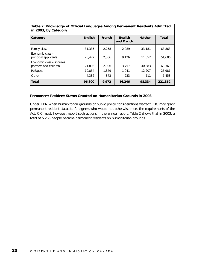| <b>Category</b>                                    | <b>English</b> | <b>French</b> | <b>English</b><br>and French | <b>Neither</b> | <b>Total</b> |
|----------------------------------------------------|----------------|---------------|------------------------------|----------------|--------------|
| <b>Family class</b>                                | 31,335         | 2,258         | 2,089                        | 33,181         | 68,863       |
| Economic class -<br>principal applicants           | 28,472         | 2.536         | 9,126                        | 11,552         | 51,686       |
| Economic class - spouses,<br>partners and children | 21,803         | 2,926         | 3,757                        | 40,883         | 69.369       |
| Refugees                                           | 10,854         | 1.879         | 1,041                        | 12,207         | 25,981       |
| l Other                                            | 4,336          | 373           | 233                          | 511            | 5,453        |
| <b>Total</b>                                       | 96,800         | 9,972         | 16,246                       | 98,334         | 221,352      |

#### **Table 7: Knowledge of Official Languages Among Permanent Residents Admitted in 2003, by Category**

#### **Permanent Resident Status Granted on Humanitarian Grounds in 2003**

Under IRPA, when humanitarian grounds or public policy considerations warrant, CIC may grant permanent resident status to foreigners who would not otherwise meet the requirements of the Act. CIC must, however, report such actions in the annual report. Table 2 shows that in 2003, a total of 5,265 people became permanent residents on humanitarian grounds.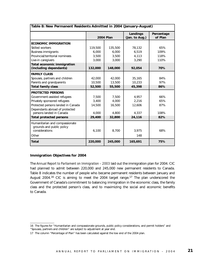| Table 8: New Permanent Residents Admitted in 2004 (January-August)   |         |                  |                            |                       |  |  |
|----------------------------------------------------------------------|---------|------------------|----------------------------|-----------------------|--|--|
|                                                                      |         | <b>2004 Plan</b> | Landings<br>(Jan. to Aug.) | Percentage<br>of Plan |  |  |
| <b>ECONOMIC IMMIGRATION</b>                                          |         |                  |                            |                       |  |  |
| Skilled workers                                                      | 119,500 | 135,500          | 78,132                     | 65%                   |  |  |
| <b>Business immigrants</b>                                           | 6,000   | 6,000            | 6.519                      | 109%                  |  |  |
| Provincial/territorial nominees                                      | 3.500   | 3,500            | 4,113                      | 118%                  |  |  |
| Live-in caregivers                                                   | 3,000   | 3,000            | 3,290                      | 110%                  |  |  |
| <b>Total economic immigration</b><br>(including dependants)          | 132,000 | 148,000          | 92,054                     | 70%                   |  |  |
| <b>FAMILY CLASS</b>                                                  |         |                  |                            |                       |  |  |
| Spouses, partners and children                                       | 42,000  | 42,000           | 35,165                     | 84%                   |  |  |
| Parents and grandparents                                             | 10,500  | 13,500           | 10,233                     | 97%                   |  |  |
| <b>Total family class</b>                                            | 52,500  | 55,500           | 45,398                     | 86%                   |  |  |
| <b>PROTECTED PERSONS</b>                                             |         |                  |                            |                       |  |  |
| Government-assisted refugees                                         | 7,500   | 7,500            | 4,957                      | 66%                   |  |  |
| Privately sponsored refugees                                         | 3,400   | 4.000            | 2,216                      | 65%                   |  |  |
| Protected persons landed in Canada<br>Dependants abroad of protected | 14,500  | 16,500           | 12,606                     | 87%                   |  |  |
| persons landed in Canada                                             | 4.000   | 4,800            | 4.337                      | 108%                  |  |  |
| <b>Total protected persons</b>                                       | 29,400  | 32,800           | 24,116                     | 82%                   |  |  |
| Humanitarian and compassionate<br>grounds and public policy          |         |                  |                            |                       |  |  |
| considerations                                                       | 6,100   | 8,700            | 3,975                      | 68%                   |  |  |
| Other                                                                |         |                  | 148                        |                       |  |  |
| <b>Total</b>                                                         | 220,000 | 245,000          | 165,691                    | 75%                   |  |  |

#### **Immigration Objectives for 2004**

The Annual Report to Parliament on Immigration - 2003 laid out the immigration plan for 2004. CIC had planned to admit between 220,000 and 245,000 new permanent residents to Canada. Table 8 indicates the number of people who became permanent residents between January and August 2004.<sup>16</sup> CIC is aiming to meet the 2004 target range.<sup>17</sup> The plan underscored the Government of Canada's commitment to balancing immigration in the economic class, the family class and the protected person's class, and to maximizing the social and economic benefits to Canada.

<sup>16</sup> The figures for "Humanitarian and compassionate grounds, public policy considerations, and permit holders" and "Spouses, partners and children" are subject to adjustment at year end.

<sup>17</sup> The column "Percentage of Plan" has been calculated against the low end of the 2004 plan.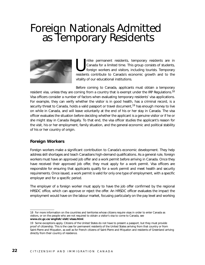## Foreign Nationals Admitted as Temporary Residents



Inlike permanent residents, temporary residents are in Canada for a limited time. This group consists of students, foreign workers and visitors, including tourists. Temporary residents contribute to Canada's economic growt Canada for a limited time. This group consists of students, foreign workers and visitors, including tourists. Temporary residents contribute to Canada's economic growth and to the vitality of our educational institutions.

Before coming to Canada, applicants must obtain a temporary resident visa, unless they are coming from a country that is exempt under the IRP Regulations.<sup>18</sup> Visa officers consider a number of factors when evaluating temporary residents' visa applications. For example, they can verify whether the visitor is in good health, has a criminal record, is a security threat to Canada, holds a valid passport or travel document,<sup>19</sup> has enough money to live on while in Canada, and will leave voluntarily at the end of his or her stay in Canada. The visa officer evaluates the situation before deciding whether the applicant is a genuine visitor or if he or she might stay in Canada illegally. To that end, the visa officer studies the applicant's reason for the visit, his or her employment, family situation, and the general economic and political stability of his or her country of origin.

#### **Foreign Workers**

Foreign workers make a significant contribution to Canada's economic development. They help address skill shortages and teach Canadians high-demand qualifications. As a general rule, foreign workers must have an approved job offer and a work permit before arriving in Canada. Once they have received their approved job offer, they must apply for a work permit. Visa officers are responsible for ensuring that applicants qualify for a work permit and meet health and security requirements. Once issued, a work permit is valid for only one type of employment, with a specific employer and for a specific period.

The employer of a foreign worker must apply to have the job offer confirmed by the regional HRSDC office, which can approve or reject the offer. An HRSDC officer evaluates the impact the employment would have on the labour market, focusing particularly on the pay level and working

<sup>18</sup> For more information on the countries and territories whose citizens require visas in order to enter Canada as visitors, or on the people who are not required to obtain a visitor's visa to come to Canada, see **www.cic.gc.ca/english/visit/visas.html**.

<sup>19</sup> Some exceptions apply. Citizens of the United States do not have to present a passport, but they must provide proof of citizenship. This is the case for permanent residents of the United States arriving from that country or from Saint-Pierre and Miquelon, as well as for French citizens of Saint-Pierre and Miquelon and residents of Greenland arriving directly from their country of residence.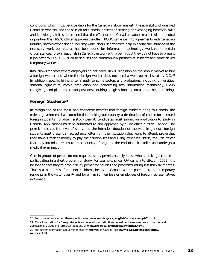conditions (which must be acceptable for the Canadian labour market), the availability of qualified Canadian workers, and the spin-off for Canada in terms of creating or exchanging beneficial skills and knowledge. If it is determined that the effect on the Canadian labour market will be neutral or positive, the HRSDC officer approves the offer. HRSDC can enter into agreements with Canadian industry sectors experiencing industry-wide labour shortages to help expedite the issuance of the necessary work permits, as has been done for information technology workers. In certain circumstances, foreign nationals in Canada can work with a permit but they do not have to present a job offer to HRSDC — such as spouses and common-law partners of students and some skilled temporary workers.

IRPA allows for cases where employers do not need HRSDC's opinion on the labour market to hire a foreign worker and where the foreign worker does not need a work permit issued by CIC.<sup>20</sup> In addition, specific hiring criteria apply to some sectors and professions, including universities, seasonal agriculture, movie production and performing arts, information technology, live-in caregiving, and pilot projects for positions requiring a high school diploma or on-the-job training.

#### **Foreign Students21**

In recognition of the social and economic benefits that foreign students bring to Canada, the federal government has committed to making our country a destination of choice for talented foreign students. To obtain a study permit, candidates must submit an application to study in Canada. Applications must be submitted to and approved by a visa office outside Canada. The permit indicates the level of study and the intended duration of the visit. In general, foreign students must present an acceptance letter from the institution they want to attend, prove that they have sufficient money to pay their tuition fees and living expenses, satisfy the visa officer that they intend to return to their country of origin at the end of their studies and undergo a medical examination.

Certain groups of people do not require a study permit, namely, those who are taking a course or participating in a short program of study. For example, since IRPA came into effect in 2002, it is no longer necessary to have a study permit for courses and programs lasting less than six months. That is also the case for minor children already in Canada whose parents are not temporary residents in the visitor class, <sup>22</sup> and for all family members or employees of foreign representatives in Canada.

<sup>20</sup> For more information on these specific cases, see **www.cic.gc.ca/english/work/exempt-2.html**.

<sup>21</sup> More information for foreign students and educational institutions, as well as the requirements to be met and

applications, guides and forms can be found at **www.cic.gc.ca/english/study/index.html**.

<sup>22</sup> For further information about minor children studying in Canada, see **www.cic.gc.ca/english/study/ minors.html**.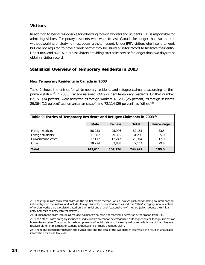#### **Visitors**

In addition to being responsible for admitting foreign workers and students, CIC is responsible for admitting visitors. Temporary residents who want to visit Canada for longer than six months without working or studying must obtain a visitor record. Under IRPA, visitors who intend to work but are not required to have a work permit may be issued a visitor record to facilitate their entry. Under IRPA and NAFTA, business visitors providing after-sales service for longer than two days must obtain a visitor record.

#### **Statistical Overview of Temporary Residents in 2003**

#### **New Temporary Residents in Canada in 2003**

Table 9 shows the entries for all temporary residents and refugee claimants according to their primary status.23 In 2003, Canada received 244,922 new temporary residents. Of that number, 82,151 (34 percent) were admitted as foreign workers, 61,293 (25 percent) as foreign students, 29,364 (12 percent) as humanitarian cases<sup>24</sup> and 72,114 (29 percent) as "other."<sup>25</sup>

| Table 9: Entries of Temporary Residents and Refugee Claimants in 2003 $^{26}$ |             |         |              |            |  |  |
|-------------------------------------------------------------------------------|-------------|---------|--------------|------------|--|--|
|                                                                               | <b>Male</b> | Female  | <b>Total</b> | Percentage |  |  |
| Foreign workers                                                               | 56,233      | 25,906  | 82,151       | 33.5       |  |  |
| Foreign students                                                              | 31,987      | 29,305  | 61,293       | 25.0       |  |  |
| Humanitarian cases                                                            | 17,117      | 12,247  | 29,364       | 12.0       |  |  |
| <b>Other</b>                                                                  | 38,274      | 33,838  | 72.114       | 29.4       |  |  |
| <b>Total</b>                                                                  | 143,611     | 101,296 | 244,922      | 100.0      |  |  |

<sup>23</sup> These figures are calculated based on the "initial entry" method, which involves each person being counted only on initial entry into the system, and includes foreign students, humanitarian cases and the "other" category. Annual entries of foreign workers are calculated based on the "initial entry" and "seasonal entry" method (which counts their initial entry and each re-entry into the system).

<sup>24</sup> Humanitarian cases include all refugee claimants who have not received a permit or authorization from CIC.

<sup>25</sup> The "other" cases category includes all individuals who cannot be categorized as foreign workers, foreign students or humanitarian cases. This group is made up primarily of individuals who have only visitor records. None of them has ever received either employment or student authorizations or made a refugee claim.

<sup>26</sup> The slight discrepancy between the overall total and the total of the two gender columns is the result of unavailable information for these few cases.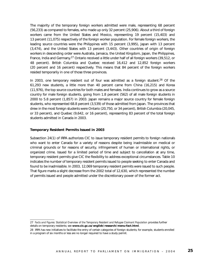The majority of the temporary foreign workers admitted were male, representing 68 percent (56,233) as compared to females, who made up only 32 percent (25,906). About a third of foreign workers came from the United States and Mexico, representing 19 percent (15,403) and 13 percent (11,075) respectively of the foreign worker population. For female foreign workers, the leading source countries were the Philippines with 15 percent (3,995), Japan with 13 percent (3,474), and the United States with 13 percent (3,443). Other countries of origin of foreign workers in descending order were Australia, Jamaica, the United Kingdom, Japan, the Philippines, France, India and Germany.<sup>27</sup> Ontario received a little under half of all foreign workers (39,512, or 48 percent). British Columbia and Quebec received 16,412 and 12,852 foreign workers (20 percent and 16 percent) respectively. This means that 84 percent of the foreign workers resided temporarily in one of those three provinces.

In 2003, one temporary resident out of four was admitted as a foreign student.<sup>28</sup> Of the 61,293 new students, a little more than 40 percent came from China (16,215) and Korea (11,976), the top source countries for both males and females. India continues to grow as a source country for male foreign students, going from 1.8 percent (562) of all male foreign students in 2000 to 5.8 percent (1,857) in 2003. Japan remains a major source country for female foreign students, who represented 68.8 percent (3,539) of those admitted from Japan. The provinces that drew in the most foreign students were Ontario (20,750, or 34 percent), British Columbia (20,045, or 33 percent), and Quebec (9,642, or 16 percent), representing 83 percent of the total foreign students admitted in Canada in 2003.

#### **Temporary Resident Permits Issued in 2003**

Subsection 24(1) of IRPA authorizes CIC to issue temporary resident permits to foreign nationals who want to enter Canada for a variety of reasons despite being inadmissible on medical or criminal grounds or for reasons of security, infringement of human or international rights, or organized crime. Issued for a limited period of time and subject to cancellation at any time, temporary resident permits give CIC the flexibility to address exceptional circumstances. Table 10 indicates the number of temporary resident permits issued to people seeking to enter Canada and found to be inadmissible. In 2003, 12,069 temporary resident permits were issued to such people. That figure marks a slight decrease from the 2002 total of 12,630, which represented the number of permits issued and people admitted under the discretionary power of the former act.

<sup>27</sup> *Facts and Figures: Statistical Overview of the Temporary Resident and Refugee Claimant Population* provides further details on temporary residents; see **www.cic.gc.ca/english/research/menu-fact.html**.

<sup>28</sup> IRPA has new initiatives to facilitate the entry of certain categories of foreign students; for example, students enrolled in a program of six months or less are no longer required to have a study permit.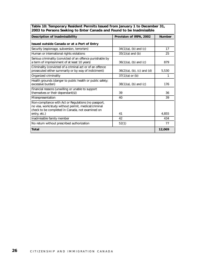| Table 10: Temporary Resident Permits Issued from January 1 to December 31, |
|----------------------------------------------------------------------------|
| 2003 to Persons Seeking to Enter Canada and Found to be Inadmissible       |

| <b>Description of Inadmissibility</b>                                                                                                                            | Provision of IRPA, 2002       | <b>Number</b> |
|------------------------------------------------------------------------------------------------------------------------------------------------------------------|-------------------------------|---------------|
| Issued outside Canada or at a Port of Entry                                                                                                                      |                               |               |
| Security (espionage, subversion, terrorism)                                                                                                                      | $34(1)(a)$ , (b) and (c)      | 17            |
| Human or international rights violations                                                                                                                         | $35(1)(a)$ and (b)            | 25            |
| Serious criminality (convicted of an offence punishable by<br>a term of imprisonment of at least 10 years)                                                       | $36(1)(a)$ , (b) and (c)      | 879           |
| Criminality (convicted of a criminal act or of an offence<br>prosecuted either summarily or by way of indictment)                                                | $36(2)(a)$ , (b), (c) and (d) | 5,530         |
| Organized criminality                                                                                                                                            | $37(1)(a)$ or (b)             | 1             |
| Health grounds (danger to public health or public safety;<br>excessive burden)                                                                                   | $38(1)(a)$ , (b) and (c)      | 176           |
| Financial reasons (unwilling or unable to support<br>themselves or their dependant(s))                                                                           | 39                            | 36            |
| Misrepresentation                                                                                                                                                | 40                            | 39            |
| Non-compliance with Act or Regulations (no passport,<br>no visa, work/study without permit, medical/criminal<br>check to be completed in Canada, not examined on |                               |               |
| entry, etc.)                                                                                                                                                     | 41                            | 4,855         |
| Inadmissible family member                                                                                                                                       | 42                            | 434           |
| No return without prescribed authorization                                                                                                                       | 52(1)                         | 77            |
| <b>Total</b>                                                                                                                                                     |                               | 12,069        |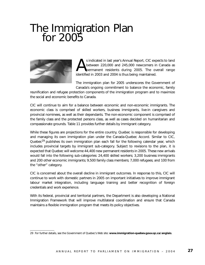## The Immigration Plan<br>for 2005



s indicated in last year's Annual Report, CIC expects to land<br>between 220,000 and 245,000 newcomers in Canada as<br>identified in 2003 and 2004 is thus being maintained between 220,000 and 245,000 newcomers in Canada as permanent residents during 2005. The overall range identified in 2003 and 2004 is thus being maintained.

The immigration plan for 2005 underscores the Government of Canada's ongoing commitment to balance the economic, family

reunification and refugee protection components of the immigration program and to maximize the social and economic benefits to Canada.

CIC will continue to aim for a balance between economic and non-economic immigrants. The economic class is comprised of skilled workers, business immigrants, live-in caregivers and provincial nominees, as well as their dependants. The non-economic component is comprised of the family class and the protected persons class, as well as cases decided on humanitarian and compassionate grounds. Table 11 provides further details by immigrant category.

While these figures are projections for the entire country, Quebec is responsible for developing and managing its own immigration plan under the Canada-Quebec Accord. Similar to CIC, Quebec<sup>29</sup> publishes its own immigration plan each fall for the following calendar year, which includes provincial targets by immigrant sub-category. Subject to revisions to the plan, it is expected that Quebec will welcome 44,400 new permanent residents in 2005. These new arrivals would fall into the following sub-categories: 24,400 skilled workers; 3,200 business immigrants and 200 other economic immigrants; 9,500 family class members; 7,000 refugees; and 100 from the "other" category.

CIC is concerned about the overall decline in immigrant outcomes. In response to this, CIC will continue to work with domestic partners in 2005 on important initiatives to improve immigrant labour market integration, including language training and better recognition of foreign credentials and work experience.

With its federal, provincial and territorial partners, the Department is also developing a National Immigration Framework that will improve multilateral coordination and ensure that Canada maintains a flexible immigration program that meets its policy objectives.

<sup>29</sup> For further details, see the Government of Quebec's Web site: **www.immigration-quebev.gouv.qc.ca/anglais**.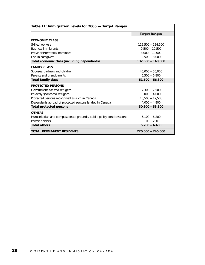|                                                                      | <b>Target Ranges</b> |
|----------------------------------------------------------------------|----------------------|
| <b>ECONOMIC CLASS</b>                                                |                      |
| Skilled workers                                                      | 112,500 - 124,500    |
| <b>Business immigrants</b>                                           | $9,500 - 10,500$     |
| Provincial/territorial nominees                                      | $8,000 - 10,000$     |
| Live-in caregivers                                                   | $2,500 - 3,000$      |
| Total economic class (including dependants)                          | 132,500 - 148,000    |
| <b>FAMILY CLASS</b>                                                  |                      |
| Spouses, partners and children                                       | $46,000 - 50,000$    |
| Parents and grandparents                                             | $5,500 - 6,800$      |
| <b>Total family class</b>                                            | $51,500 - 56,800$    |
| <b>PROTECTED PERSONS</b>                                             |                      |
| Government-assisted refugees                                         | $7,300 - 7,500$      |
| Privately sponsored refugees                                         | $3,000 - 4,000$      |
| Protected persons recognized as such in Canada                       | $16,500 - 17,500$    |
| Dependants abroad of protected persons landed in Canada              | $4,000 - 4,800$      |
| <b>Total protected persons</b>                                       | $30,800 - 33,800$    |
| <b>OTHERS</b>                                                        |                      |
| Humanitarian and compassionate grounds, public policy considerations | $5,100 - 6,200$      |
| Permit holders                                                       | $100 - 200$          |
| <b>Total others</b>                                                  | $5,200 - 6,400$      |
| <b>TOTAL PERMANENT RESIDENTS</b>                                     | 220,000 - 245,000    |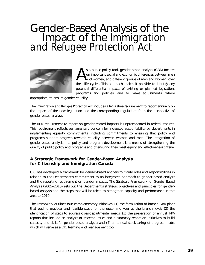# Gender-Based Analysis of the Impact of the *Immigration and Refugee Protection Act*



s a public policy tool, gender-based analysis (GBA) focuses<br>on important social and economic differences between men<br>and women, and different groups of men and women, over<br>their life cycles. This approach makes it possible on important social and economic differences between men and women, and different groups of men and women, over their life cycles. This approach makes it possible to identify any potential differential impacts of existing or planned legislation, programs and policies, and to make adjustments, where

appropriate, to ensure gender equality.

The *Immigration and Refugee Protection Act* includes a legislative requirement to report annually on the impact of the new legislation and the corresponding regulations from the perspective of gender-based analysis.

The IRPA requirement to report on gender-related impacts is unprecedented in federal statutes. This requirement reflects parliamentary concern for increased accountability by departments in implementing equality commitments, including commitments to ensuring that policy and programs support progress towards equality between women and men. The integration of gender-based analysis into policy and program development is a means of strengthening the quality of public policy and programs and of ensuring they meet equity and effectiveness criteria.

#### **A Strategic Framework for Gender-Based Analysis for Citizenship and Immigration Canada**

CIC has developed a framework for gender-based analysis to clarify roles and responsibilities in relation to the Department's commitment to an integrated approach to gender-based analysis and the reporting requirement on gender impacts. The Strategic Framework for Gender-Based Analysis (2005–2010) sets out the Department's strategic objectives and principles for genderbased analysis and the steps that will be taken to strengthen capacity and performance in this area to 2010.

The Framework outlines four complementary initiatives: (1) the formulation of branch GBA plans that outline practical and feasible steps for the upcoming year at the branch level; (2) the identification of steps to address cross-departmental needs; (3) the preparation of annual IRPA reports that include an analysis of selected issues and a summary report on initiatives to build capacity and skills for gender-based analysis; and (4) an annual stock-taking of progress made, which will serve as a CIC learning and management tool.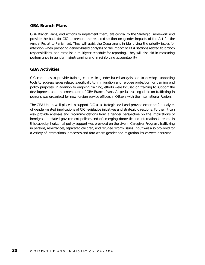#### **GBA Branch Plans**

GBA Branch Plans, and actions to implement them, are central to the Strategic Framework and provide the basis for CIC to prepare the required section on gender impacts of the Act for the *Annual Report to Parliament.* They will assist the Department in identifying the priority issues for attention when preparing gender-based analyses of the impact of IRPA sections related to branch responsibilities, and establish a multiyear schedule for reporting. They will also aid in measuring performance in gender mainstreaming and in reinforcing accountability.

#### **GBA Activities**

CIC continues to provide training courses in gender-based analysis and to develop supporting tools to address issues related specifically to immigration and refugee protection for training and policy purposes. In addition to ongoing training, efforts were focused on training to support the development and implementation of GBA Branch Plans. A special training clinic on trafficking in persons was organized for new foreign service officers in Ottawa with the International Region.

The GBA Unit is well placed to support CIC at a strategic level and provide expertise for analyses of gender-related implications of CIC legislative initiatives and strategic directions. Further, it can also provide analyses and recommendations from a gender perspective on the implications of immigration-related government policies and of emerging domestic and international trends. In this capacity, horizontal policy support was provided on the Live-In Caregiver Program, trafficking in persons, remittances, separated children, and refugee reform issues. Input was also provided for a variety of international processes and fora where gender and migration issues were discussed.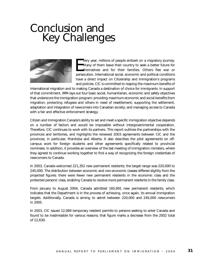### Conclusion and Key Challenges



very year, millions of people embark on a migratory journey.<br>
Many of them leave their country to seek a better future for<br>
themselves and for their families. Others flee war or<br>
persecution. International social, economic very year, millions of people embark on a migratory journey. Many of them leave their country to seek a better future for themselves and for their families. Others flee war or have a direct impact on Citizenship and Immigration's programs and policies. CIC is committed to reaping the maximum benefits of

international migration and to making Canada a destination of choice for immigrants. In support of that commitment, IRPA lays out four basic social, humanitarian, economic and safety objectives that underscore the immigration program: providing maximum economic and social benefits from migration; protecting refugees and others in need of resettlement; supporting the settlement, adaptation and integration of newcomers into Canadian society; and managing access to Canada with a fair and effective enforcement strategy.

Citizen and Immigration Canada's ability to set and meet a specific immigration objective depends on a number of factors and would be impossible without intergovernmental cooperation. Therefore, CIC continues to work with its partners. This report outlines the partnerships with the provinces and territories, and highlights the renewed 2003 agreements between CIC and the provinces, in particular, Manitoba and Alberta. It also describes the pilot agreements on offcampus work for foreign students and other agreements specifically related to provincial nominees. In addition, it provides an overview of the last meeting of immigration ministers, where they agreed to continue working together to find a way of recognizing the foreign credentials of newcomers to Canada.

In 2003, Canada welcomed 221,352 new permanent residents; the target range was 220,000 to 245,000. The distribution between economic and non-economic classes differed slightly from the projected figures: there were fewer new permanent residents in the economic class and the protected persons' class, enabling Canada to receive more permanent residents in the family class.

From January to August 2004, Canada admitted 165,691 new permanent residents, which indicates that the Department is in the process of achieving, once again, its annual immigration targets. Additionally, Canada is aiming to admit between 220,000 and 245,000 newcomers in 2005.

In 2003, CIC issued 12,069 temporary resident permits to persons seeking to enter Canada and found to be inadmissible for various reasons; that figure marks a decrease from the 2002 total of 12,630.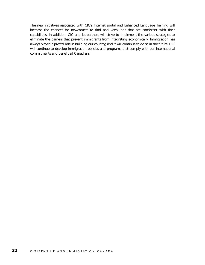The new initiatives associated with CIC's Internet portal and Enhanced Language Training will increase the chances for newcomers to find and keep jobs that are consistent with their capabilities. In addition, CIC and its partners will strive to implement the various strategies to eliminate the barriers that prevent immigrants from integrating economically. Immigration has always played a pivotal role in building our country, and it will continue to do so in the future. CIC will continue to develop immigration policies and programs that comply with our international commitments and benefit all Canadians.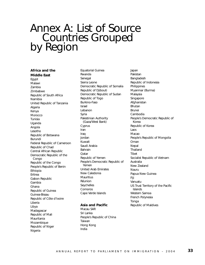## Annex A: List of Source Countries Grouped<br>by Region

#### **Africa and the**

**Middle East** Egypt Malawi Zambia Zimbabwe Republic of South Africa Namibia United Republic of Tanzania Algeria Kenya Morocco Tunisia Uganda Angola Lesotho Republic of Botswana Burundi Federal Republic of Cameroon Republic of Chad Central African Republic Democratic Republic of the Congo Republic of the Congo People's Republic of Benin Ethiopia Eritrea Gabon Republic Gambia Ghana Republic of Guinea Guinea-Bissau Republic of Côte d'Ivoire Liberia Libya Madagascar Republic of Mali Mauritania Mozambique Republic of Niger Nigeria

Equatorial Guinea Rwanda Senegal Sierra Leone Democratic Republic of Somalia Republic of Djibouti Democratic Republic of Sudan Republic of Togo Burkino-Faso Israel Lebanon Syria Palestinian Authority (Gaza/West Bank) Cyprus Iran Iraq Jordan Kuwait Saudi Arabia Bahrain **O**atar Republic of Yemen People's Democratic Republic of Yemen United Arab Emirates New Caledonia **Mauritius** Réunion Seychelles Comoros Cape Verde Islands

#### **Asia and Pacific**

Macau SAR Sri Lanka People's Republic of China Taiwan Hong Kong India

Japan Pakistan Bangladesh Republic of Indonesia Philippines Myanmar (Burma) Malaysia Singapore Afghanistan Bhutan Brunei Cambodia People's Democratic Republic of Korea Republic of Korea Laos Macao People's Republic of Mongolia Oman Nepal Thailand Tibet Socialist Republic of Vietnam Australia New Zealand Nauru Papua New Guinea Fiji Vanuatu US Trust Territory of the Pacific Islands Western Samoa French Polynesia Tonga Republic of Maldives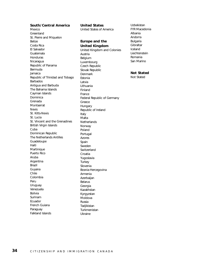**South/Central America** Mexico Greenland St. Pierre and Miquelon Belize Costa Rica El Salvador Guatemala Honduras **Nicaragua** Republic of Panama Bermuda Jamaica Republic of Trinidad and Tobago Barbados Antigua and Barbuda The Bahama Islands Cayman Islands Dominica Grenada **Montserrat** Nevis St. Kitts-Nevis St. Lucia St. Vincent and the Grenadines British Virgin Islands Cuba Dominican Republic The Netherlands Antilles Guadeloupe Haiti **Martinique** Puerto Rico Aruba Argentina Brazil Guyana Chile Colombia Peru Uruguay Venezuela Bolivia Surinam Ecuador French Guiana Paraguay Falkland Islands

United States of America **Europe and the United Kingdom** United Kingdom and Colonies Austria Belgium Luxembourg Czech Republic Slovak Republic Denmark Estonia Latvia Lithuania Finland France Federal Republic of Germany Greece Hungary Republic of Ireland Italy Malta **Netherlands** Norway Poland Portugal Azores Spain Sweden **Switzerland** Croatia Yugoslavia **Turkey** Slovenia Bosnia-Hercegovina Armenia Azerbaijan Belarus Georgia Kazakhstan Kyrgyzstan Moldova Russia Tadjikistan Turkmenistan Ukraine

**United States**

Uzbekistan FYR Macedonia Albania Andorra Bulgaria **Gibraltar** Iceland Liechtenstein Romania San Marino

#### **Not Stated**

Not Stated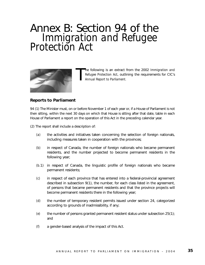## Annex B: Section 94 of the *Immigration and Refugee Protection Act*



T he following is an extract from the 2002 *Immigration and Refugee Protection Act*, outlining the requirements for CIC's *Annual Report to Parliament.*

#### **Reports to Parliament**

94 (1) The Minister must, on or before November 1 of each year or, if a House of Parliament is not then sitting, within the next 30 days on which that House is sitting after that date, table in each House of Parliament a report on the operation of this Act in the preceding calendar year.

(2) The report shall include a description of:

- *(a)* the activities and initiatives taken concerning the selection of foreign nationals, including measures taken in cooperation with the provinces;
- *(b)* in respect of Canada, the number of foreign nationals who became permanent residents, and the number projected to become permanent residents in the following year;
- *(b.*1) in respect of Canada, the linguistic profile of foreign nationals who became permanent residents;
- *(c)* in respect of each province that has entered into a federal-provincial agreement described in subsection 9(1), the number, for each class listed in the agreement, of persons that became permanent residents and that the province projects will become permanent residents there in the following year;
- *(d)* the number of temporary resident permits issued under section 24, categorized according to grounds of inadmissibility, if any;
- *(e)* the number of persons granted permanent resident status under subsection 25(1); and
- *(f)* a gender-based analysis of the impact of this Act.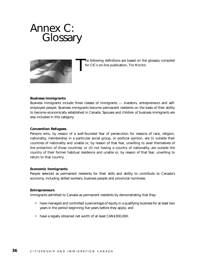### Annex C: **Glossary**



he following definitions are based on the glossary compiled for CIC's on-line publication, *The Monitor.*

#### **Business Immigrants**

Business immigrants include three classes of immigrants — investors, entrepreneurs and selfemployed people. Business immigrants become permanent residents on the basis of their ability to become economically established in Canada. Spouses and children of business immigrants are also included in this category.

#### **Convention Refugees**

Persons who, by reason of a well-founded fear of persecution for reasons of race, religion, nationality, membership in a particular social group, or political opinion, are (i) outside their countries of nationality and unable or, by reason of that fear, unwilling to avail themselves of the protection of those countries; or (ii) not having a country of nationality, are outside the country of their former habitual residence and unable or, by reason of that fear, unwilling to return to that country.

#### **Economic Immigrants**

People selected as permanent residents for their skills and ability to contribute to Canada's economy, including skilled workers, business people and provincial nominees.

#### **Entrepreneurs**

Immigrants admitted to Canada as permanent residents by demonstrating that they

- have managed and controlled a percentage of equity in a qualifying business for at least two years in the period beginning five years before they apply; and
- have a legally obtained net worth of at least CAN\$300,000.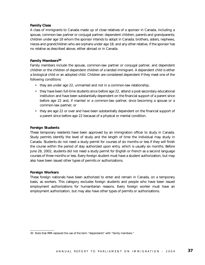#### **Family Class**

A class of immigrants to Canada made up of close relatives of a sponsor in Canada, including a spouse, common-law partner or conjugal partner; dependent children; parents and grandparents; children under age 18 whom the sponsor intends to adopt in Canada; brothers, sisters, nephews, nieces and grandchildren who are orphans under age 18; and any other relative, if the sponsor has no relative as described above, either abroad or in Canada.

#### **Family Members30**

Family members include the spouse, common-law partner or conjugal partner, and dependent children or the children of dependent children of a landed immigrant. A dependent child is either a biological child or an adopted child. Children are considered dependent if they meet one of the following conditions:

- they are under age 22, unmarried and not in a common-law relationship;
- they have been full-time students since before age 22, attend a post-secondary educational institution and have been substantially dependent on the financial support of a parent since before age 22 and, if married or a common-law partner, since becoming a spouse or a common-law partner; or
- they are age 22 or over and have been substantially dependent on the financial support of a parent since before age 22 because of a physical or mental condition.

#### **Foreign Students**

These temporary residents have been approved by an immigration officer to study in Canada. Study permits identify the level of study and the length of time the individual may study in Canada. Students do not need a study permit for courses of six months or less if they will finish the course within the period of stay authorized upon entry, which is usually six months. Before June 28, 2002, students did not need a study permit for English or French as a second language courses of three months or less. Every foreign student must have a student authorization, but may also have been issued other types of permits or authorizations.

#### **Foreign Workers**

These foreign nationals have been authorized to enter and remain in Canada, on a temporary basis, as workers. This category excludes foreign students and people who have been issued employment authorizations for humanitarian reasons. Every foreign worker must have an employment authorization, but may also have other types of permits or authorizations.

<sup>30</sup> Note that IRPA replaced the use of the term "dependants" with "family members."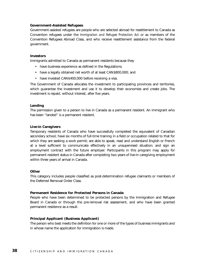#### **Government-Assisted Refugees**

Government-assisted refugees are people who are selected abroad for resettlement to Canada as Convention refugees under the *Immigration and Refugee Protection Act* or as members of the Convention Refugees Abroad Class, and who receive resettlement assistance from the federal government.

#### **Investors**

Immigrants admitted to Canada as permanent residents because they

- have business experience as defined in the Regulations;
- have a legally obtained net worth of at least CAN\$800,000; and
- have invested CAN\$400,000 before receiving a visa.

The Government of Canada allocates the investment to participating provinces and territories, which guarantee the investment and use it to develop their economies and create jobs. The investment is repaid, without interest, after five years.

#### **Landing**

The permission given to a person to live in Canada as a permanent resident. An immigrant who has been "landed" is a permanent resident.

#### **Live-in Caregivers**

Temporary residents of Canada who have successfully completed the equivalent of Canadian secondary school; have six months of full-time training in a field or occupation related to that for which they are seeking a work permit; are able to speak, read and understand English or French at a level sufficient to communicate effectively in an unsupervised situation; and sign an employment contract with the future employer. Participants in this program may apply for permanent resident status in Canada after completing two years of live-in caregiving employment within three years of arrival in Canada.

#### **Other**

This category includes people classified as post-determination refugee claimants or members of the Deferred Removal Order Class.

#### **Permanent Residence for Protected Persons in Canada**

People who have been determined to be protected persons by the Immigration and Refugee Board in Canada or through the pre-removal risk assessment, and who have been granted permanent residence as a result.

#### **Principal Applicant (Business Applicant)**

The person who best meets the definition for one or more of the types of business immigrants and in whose name the application for immigration is made.